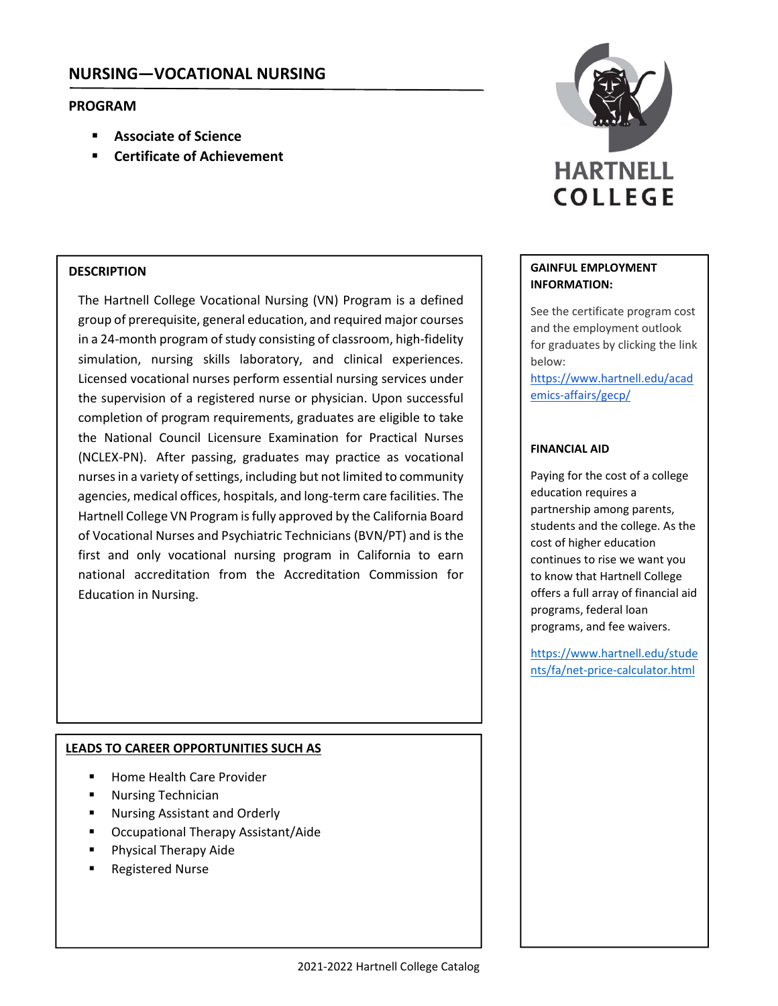### **PROGRAM**

- **Associate of Science**
- **Certificate of Achievement**

### **DESCRIPTION**

The Hartnell College Vocational Nursing (VN) Program is a defined group of prerequisite, general education, and required major courses in a 24-month program of study consisting of classroom, high-fidelity simulation, nursing skills laboratory, and clinical experiences. Licensed vocational nurses perform essential nursing services under the supervision of a registered nurse or physician. Upon successful completion of program requirements, graduates are eligible to take the National Council Licensure Examination for Practical Nurses (NCLEX‐PN). After passing, graduates may practice as vocational nurses in a variety of settings, including but not limited to community agencies, medical offices, hospitals, and long‐term care facilities. The Hartnell College VN Program isfully approved by the California Board of Vocational Nurses and Psychiatric Technicians (BVN/PT) and is the first and only vocational nursing program in California to earn national accreditation from the Accreditation Commission for Education in Nursing.

### **LEADS TO CAREER OPPORTUNITIES SUCH AS**

- Home Health Care Provider
- Nursing Technician
- Nursing Assistant and Orderly
- Occupational Therapy Assistant/Aide
- Physical Therapy Aide
- Registered Nurse



### **GAINFUL EMPLOYMENT INFORMATION:**

See the certificate program cost and the employment outlook for graduates by clicking the link below:

https://www.hartnell.edu/acad emics‐affairs/gecp/

### **FINANCIAL AID**

Paying for the cost of a college education requires a partnership among parents, students and the college. As the cost of higher education continues to rise we want you to know that Hartnell College offers a full array of financial aid programs, federal loan programs, and fee waivers.

https://www.hartnell.edu/stude nts/fa/net‐price‐calculator.html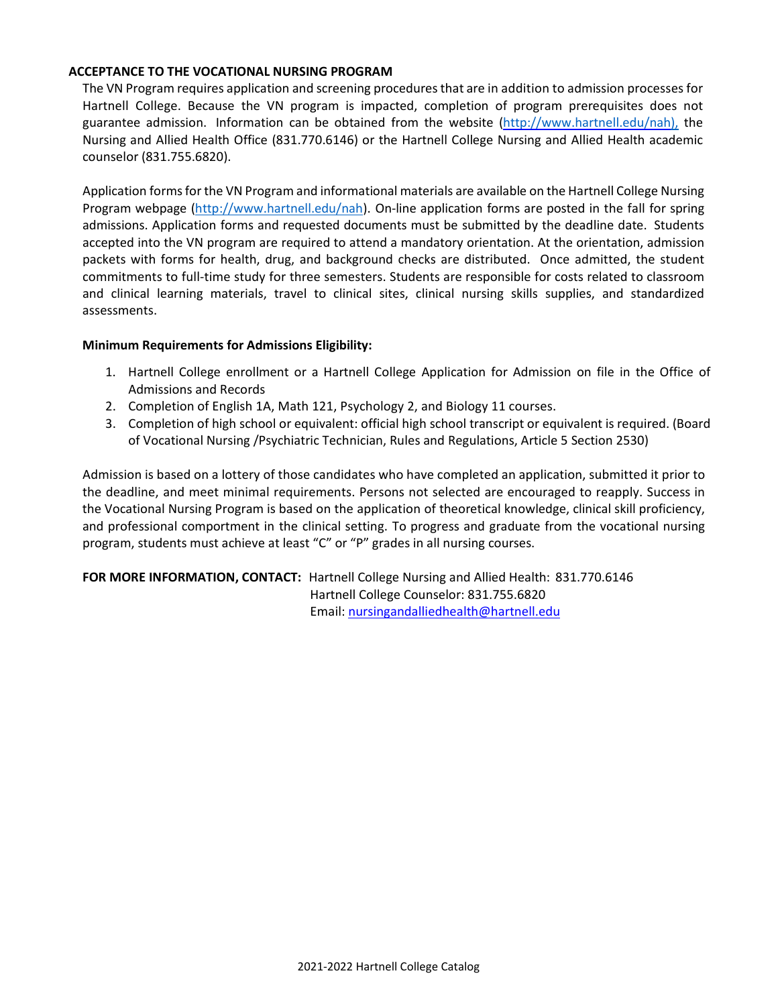### **ACCEPTANCE TO THE VOCATIONAL NURSING PROGRAM**

The VN Program requires application and screening procedures that are in addition to admission processes for Hartnell College. Because the VN program is impacted, completion of program prerequisites does not guarantee admission. Information can be obtained from the website (http://www.hartnell.edu/nah), the Nursing and Allied Health Office (831.770.6146) or the Hartnell College Nursing and Allied Health academic counselor (831.755.6820).

Application formsfor the VN Program and informational materials are available on the Hartnell College Nursing Program webpage (http://www.hartnell.edu/nah). On-line application forms are posted in the fall for spring admissions. Application forms and requested documents must be submitted by the deadline date. Students accepted into the VN program are required to attend a mandatory orientation. At the orientation, admission packets with forms for health, drug, and background checks are distributed. Once admitted, the student commitments to full‐time study for three semesters. Students are responsible for costs related to classroom and clinical learning materials, travel to clinical sites, clinical nursing skills supplies, and standardized assessments.

#### **Minimum Requirements for Admissions Eligibility:**

- 1. Hartnell College enrollment or a Hartnell College Application for Admission on file in the Office of Admissions and Records
- 2. Completion of English 1A, Math 121, Psychology 2, and Biology 11 courses.
- 3. Completion of high school or equivalent: official high school transcript or equivalent is required. (Board of Vocational Nursing /Psychiatric Technician, Rules and Regulations, Article 5 Section 2530)

Admission is based on a lottery of those candidates who have completed an application, submitted it prior to the deadline, and meet minimal requirements. Persons not selected are encouraged to reapply. Success in the Vocational Nursing Program is based on the application of theoretical knowledge, clinical skill proficiency, and professional comportment in the clinical setting. To progress and graduate from the vocational nursing program, students must achieve at least "C" or "P" grades in all nursing courses.

**FOR MORE INFORMATION, CONTACT:** Hartnell College Nursing and Allied Health: 831.770.6146 Hartnell College Counselor: 831.755.6820 Email: nursingandalliedhealth@hartnell.edu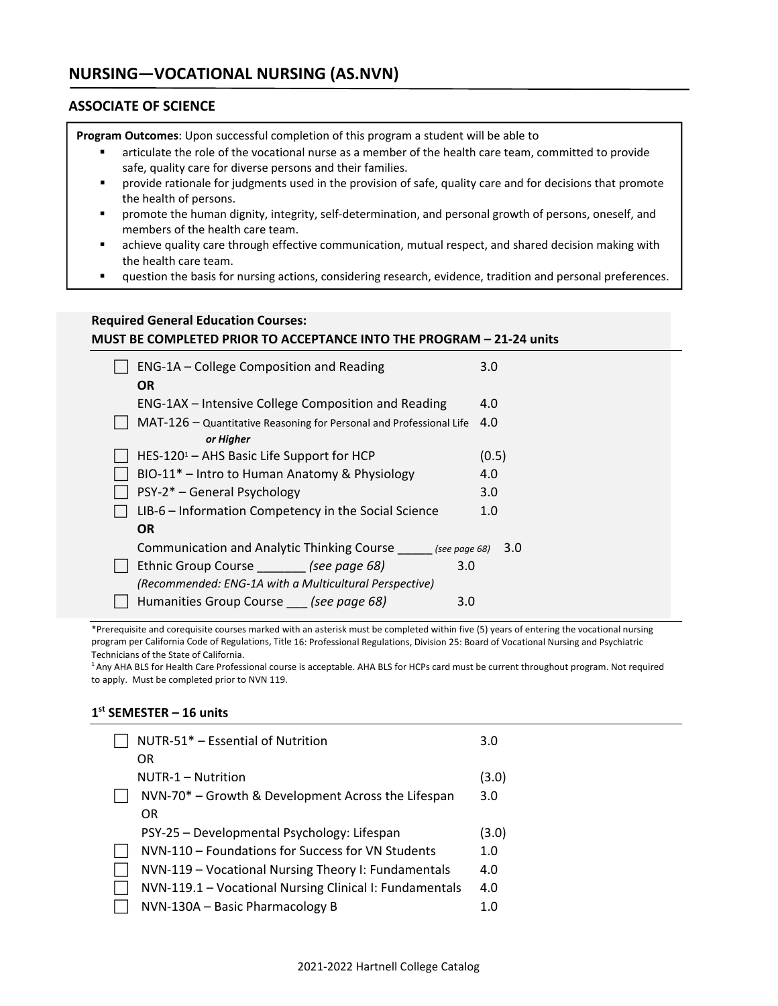### **ASSOCIATE OF SCIENCE**

**Program Outcomes**: Upon successful completion of this program a student will be able to

- articulate the role of the vocational nurse as a member of the health care team, committed to provide safe, quality care for diverse persons and their families.
- provide rationale for judgments used in the provision of safe, quality care and for decisions that promote the health of persons.
- promote the human dignity, integrity, self-determination, and personal growth of persons, oneself, and members of the health care team.
- achieve quality care through effective communication, mutual respect, and shared decision making with the health care team.
- question the basis for nursing actions, considering research, evidence, tradition and personal preferences.

### **Required General Education Courses: MUST BE COMPLETED PRIOR TO ACCEPTANCE INTO THE PROGRAM – 21‐24 units**

| ENG-1A - College Composition and Reading                            | 3.0   |
|---------------------------------------------------------------------|-------|
| <b>OR</b>                                                           |       |
| ENG-1AX – Intensive College Composition and Reading                 | 4.0   |
| MAT-126 - Quantitative Reasoning for Personal and Professional Life | 4.0   |
| or Higher                                                           |       |
| HES-120 $1 -$ AHS Basic Life Support for HCP                        | (0.5) |
| BIO-11 <sup>*</sup> – Intro to Human Anatomy & Physiology           | 4.0   |
| PSY-2* - General Psychology                                         | 3.0   |
| LIB-6 – Information Competency in the Social Science                | 1.0   |
| <b>OR</b>                                                           |       |
| Communication and Analytic Thinking Course _ (see page 68)          | 3.0   |
| Ethnic Group Course (see page 68)<br>3.0                            |       |
| (Recommended: ENG-1A with a Multicultural Perspective)              |       |
| Humanities Group Course (see page 68)<br>3.0                        |       |

\*Prerequisite and corequisite courses marked with an asterisk must be completed within five (5) years of entering the vocational nursing program per California Code of Regulations, Title 16: Professional Regulations, Division 25: Board of Vocational Nursing and Psychiatric Technicians of the State of California.

<sup>1</sup> Any AHA BLS for Health Care Professional course is acceptable. AHA BLS for HCPs card must be current throughout program. Not required to apply. Must be completed prior to NVN 119.

#### **1st SEMESTER – 16 units**

| NUTR-51* - Essential of Nutrition                       | 3.0   |
|---------------------------------------------------------|-------|
| OR                                                      |       |
| NUTR-1 – Nutrition                                      | (3.0) |
| NVN-70* - Growth & Development Across the Lifespan      | 3.0   |
| 0R                                                      |       |
| PSY-25 - Developmental Psychology: Lifespan             | (3.0) |
| NVN-110 – Foundations for Success for VN Students       | 1.0   |
| NVN-119 - Vocational Nursing Theory I: Fundamentals     | 4.0   |
| NVN-119.1 - Vocational Nursing Clinical I: Fundamentals | 4.0   |
| NVN-130A - Basic Pharmacology B                         | 1.0   |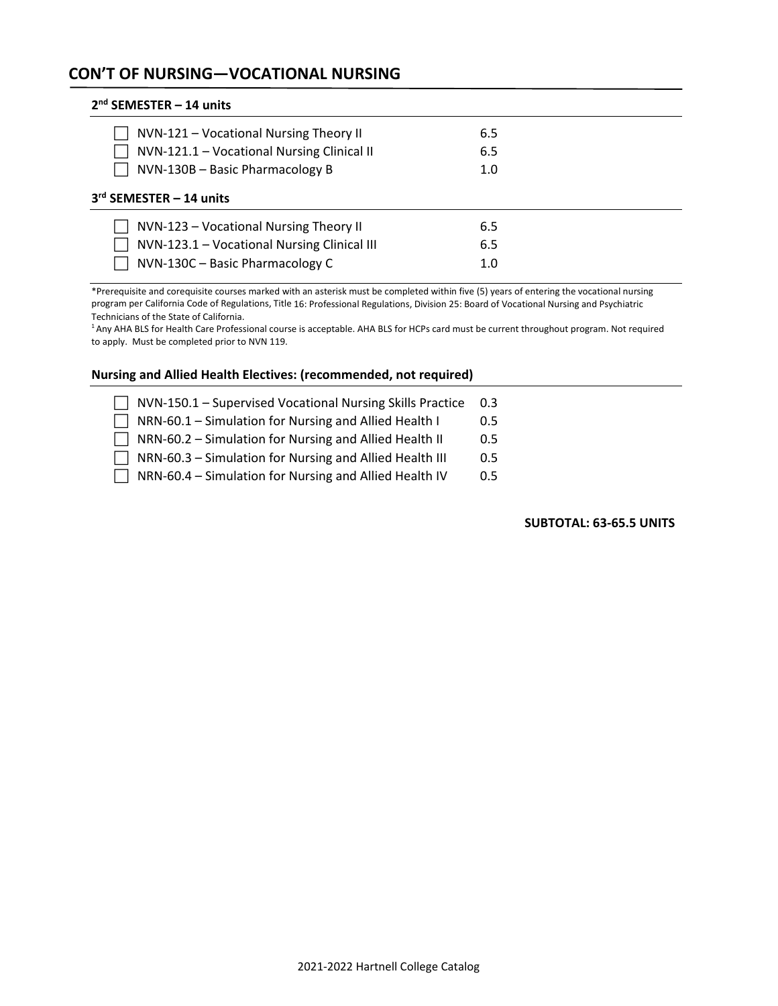## **CON'T OF NURSING—VOCATIONAL NURSING**

| $2nd$ SEMESTER - 14 units                                                                                                |                   |  |
|--------------------------------------------------------------------------------------------------------------------------|-------------------|--|
| NVN-121 – Vocational Nursing Theory II<br>NVN-121.1 - Vocational Nursing Clinical II                                     | 6.5<br>6.5        |  |
| NVN-130B - Basic Pharmacology B                                                                                          | 1.0               |  |
| 3rd SEMESTER - 14 units                                                                                                  |                   |  |
| NVN-123 – Vocational Nursing Theory II<br>NVN-123.1 - Vocational Nursing Clinical III<br>NVN-130C - Basic Pharmacology C | 6.5<br>6.5<br>1.0 |  |

\*Prerequisite and corequisite courses marked with an asterisk must be completed within five (5) years of entering the vocational nursing program per California Code of Regulations, Title 16: Professional Regulations, Division 25: Board of Vocational Nursing and Psychiatric Technicians of the State of California.

<sup>1</sup> Any AHA BLS for Health Care Professional course is acceptable. AHA BLS for HCPs card must be current throughout program. Not required to apply. Must be completed prior to NVN 119.

#### **Nursing and Allied Health Electives: (recommended, not required)**

 NVN‐150.1 – Supervised Vocational Nursing Skills Practice 0.3  $\Box$  NRN-60.1 – Simulation for Nursing and Allied Health I  $\Box$  0.5 □ NRN-60.2 – Simulation for Nursing and Allied Health II 0.5 □ NRN-60.3 – Simulation for Nursing and Allied Health III 0.5  $\Box$  NRN-60.4 – Simulation for Nursing and Allied Health IV  $\Box$  0.5

 **SUBTOTAL: 63‐65.5 UNITS**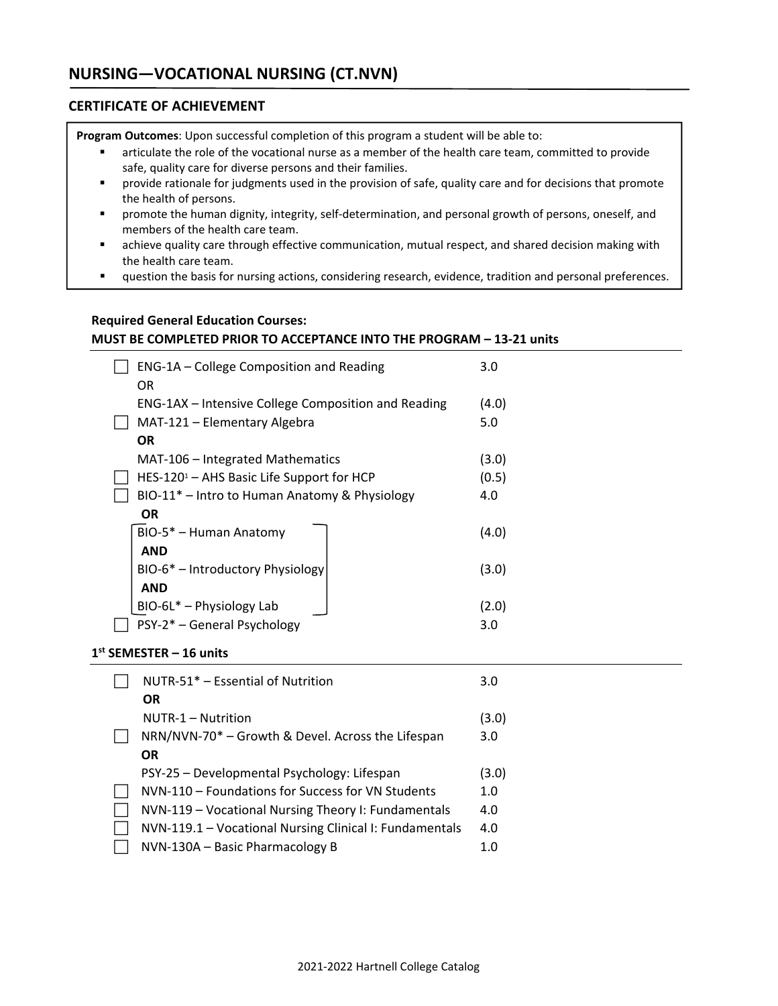### **CERTIFICATE OF ACHIEVEMENT**

**Program Outcomes**: Upon successful completion of this program a student will be able to:

- articulate the role of the vocational nurse as a member of the health care team, committed to provide safe, quality care for diverse persons and their families.
- **•** provide rationale for judgments used in the provision of safe, quality care and for decisions that promote the health of persons.
- promote the human dignity, integrity, self-determination, and personal growth of persons, oneself, and members of the health care team.
- achieve quality care through effective communication, mutual respect, and shared decision making with the health care team.
- question the basis for nursing actions, considering research, evidence, tradition and personal preferences.

### **Required General Education Courses: MUST BE COMPLETED PRIOR TO ACCEPTANCE INTO THE PROGRAM – 13‐21 units**

| ENG-1A – College Composition and Reading<br>OR            | 3.0   |
|-----------------------------------------------------------|-------|
| ENG-1AX - Intensive College Composition and Reading       | (4.0) |
| MAT-121 - Elementary Algebra                              | 5.0   |
| <b>OR</b>                                                 |       |
| MAT-106 – Integrated Mathematics                          | (3.0) |
| HES-120 $1 -$ AHS Basic Life Support for HCP              | (0.5) |
| BIO-11 <sup>*</sup> – Intro to Human Anatomy & Physiology | 4.0   |
| <b>OR</b>                                                 |       |
| BIO-5* - Human Anatomy                                    | (4.0) |
| AND                                                       |       |
| BIO-6* - Introductory Physiology                          | (3.0) |
| <b>AND</b>                                                |       |
| BIO-6L* - Physiology Lab                                  | (2.0) |
| PSY-2* - General Psychology                               | 3.0   |

#### **1st SEMESTER – 16 units**

| NUTR-51* - Essential of Nutrition                                                    | 3.0          |
|--------------------------------------------------------------------------------------|--------------|
| <b>OR</b><br>NUTR-1 - Nutrition<br>NRN/NVN-70* - Growth & Devel. Across the Lifespan | (3.0)<br>3.0 |
| <b>OR</b>                                                                            |              |
| PSY-25 - Developmental Psychology: Lifespan                                          | (3.0)        |
| NVN-110 - Foundations for Success for VN Students                                    | 1.0          |
| NVN-119 - Vocational Nursing Theory I: Fundamentals                                  | 4.0          |
| NVN-119.1 - Vocational Nursing Clinical I: Fundamentals                              | 4.0          |
| NVN-130A - Basic Pharmacology B                                                      | 1.0          |